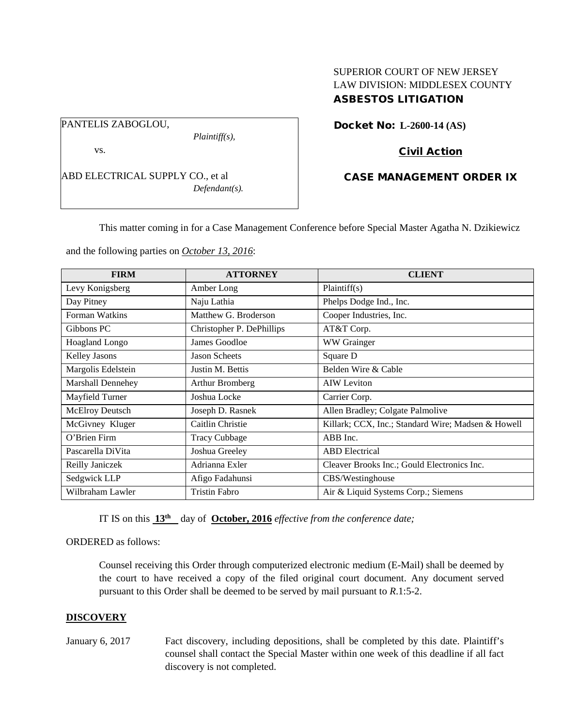# PANTELIS ZABOGLOU,

*Plaintiff(s),*

vs.

ABD ELECTRICAL SUPPLY CO., et al *Defendant(s).*

# SUPERIOR COURT OF NEW JERSEY LAW DIVISION: MIDDLESEX COUNTY ASBESTOS LITIGATION

Docket No: **L-2600-14 (AS)** 

# Civil Action

# CASE MANAGEMENT ORDER IX

This matter coming in for a Case Management Conference before Special Master Agatha N. Dzikiewicz

and the following parties on *October 13, 2016*:

| <b>FIRM</b>            | <b>ATTORNEY</b>           | <b>CLIENT</b>                                      |
|------------------------|---------------------------|----------------------------------------------------|
| Levy Konigsberg        | Amber Long                | Plaintiff(s)                                       |
| Day Pitney             | Naju Lathia               | Phelps Dodge Ind., Inc.                            |
| Forman Watkins         | Matthew G. Broderson      | Cooper Industries, Inc.                            |
| Gibbons PC             | Christopher P. DePhillips | AT&T Corp.                                         |
| Hoagland Longo         | James Goodloe             | WW Grainger                                        |
| <b>Kelley Jasons</b>   | <b>Jason Scheets</b>      | Square D                                           |
| Margolis Edelstein     | Justin M. Bettis          | Belden Wire & Cable                                |
| Marshall Dennehey      | Arthur Bromberg           | <b>AIW</b> Leviton                                 |
| Mayfield Turner        | Joshua Locke              | Carrier Corp.                                      |
| <b>McElroy Deutsch</b> | Joseph D. Rasnek          | Allen Bradley; Colgate Palmolive                   |
| McGivney Kluger        | Caitlin Christie          | Killark; CCX, Inc.; Standard Wire; Madsen & Howell |
| O'Brien Firm           | <b>Tracy Cubbage</b>      | ABB Inc.                                           |
| Pascarella DiVita      | Joshua Greeley            | <b>ABD</b> Electrical                              |
| Reilly Janiczek        | Adrianna Exler            | Cleaver Brooks Inc.; Gould Electronics Inc.        |
| Sedgwick LLP           | Afigo Fadahunsi           | CBS/Westinghouse                                   |
| Wilbraham Lawler       | <b>Tristin Fabro</b>      | Air & Liquid Systems Corp.; Siemens                |

IT IS on this  $13<sup>th</sup>$  day of **October, 2016** *effective from the conference date*;

## ORDERED as follows:

Counsel receiving this Order through computerized electronic medium (E-Mail) shall be deemed by the court to have received a copy of the filed original court document. Any document served pursuant to this Order shall be deemed to be served by mail pursuant to *R*.1:5-2.

# **DISCOVERY**

January 6, 2017 Fact discovery, including depositions, shall be completed by this date. Plaintiff's counsel shall contact the Special Master within one week of this deadline if all fact discovery is not completed.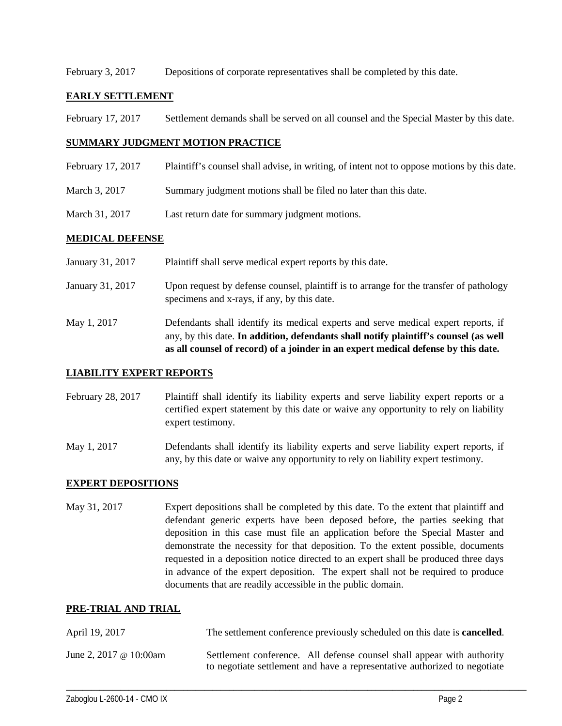February 3, 2017 Depositions of corporate representatives shall be completed by this date.

## **EARLY SETTLEMENT**

February 17, 2017 Settlement demands shall be served on all counsel and the Special Master by this date.

#### **SUMMARY JUDGMENT MOTION PRACTICE**

| February 17, 2017 | Plaintiff's counsel shall advise, in writing, of intent not to oppose motions by this date. |
|-------------------|---------------------------------------------------------------------------------------------|
| March 3, 2017     | Summary judgment motions shall be filed no later than this date.                            |
| March 31, 2017    | Last return date for summary judgment motions.                                              |

## **MEDICAL DEFENSE**

|                  | as all counsel of record) of a joinder in an expert medical defense by this date.                                                                                          |
|------------------|----------------------------------------------------------------------------------------------------------------------------------------------------------------------------|
| May 1, 2017      | Defendants shall identify its medical experts and serve medical expert reports, if<br>any, by this date. In addition, defendants shall notify plaintiff's counsel (as well |
| January 31, 2017 | Upon request by defense counsel, plaintiff is to arrange for the transfer of pathology<br>specimens and x-rays, if any, by this date.                                      |
| January 31, 2017 | Plaintiff shall serve medical expert reports by this date.                                                                                                                 |

## **LIABILITY EXPERT REPORTS**

February 28, 2017 Plaintiff shall identify its liability experts and serve liability expert reports or a certified expert statement by this date or waive any opportunity to rely on liability expert testimony.

May 1, 2017 Defendants shall identify its liability experts and serve liability expert reports, if any, by this date or waive any opportunity to rely on liability expert testimony.

## **EXPERT DEPOSITIONS**

May 31, 2017 Expert depositions shall be completed by this date. To the extent that plaintiff and defendant generic experts have been deposed before, the parties seeking that deposition in this case must file an application before the Special Master and demonstrate the necessity for that deposition. To the extent possible, documents requested in a deposition notice directed to an expert shall be produced three days in advance of the expert deposition. The expert shall not be required to produce documents that are readily accessible in the public domain.

## **PRE-TRIAL AND TRIAL**

| April 19, 2017                | The settlement conference previously scheduled on this date is <b>cancelled</b> .                                                                   |
|-------------------------------|-----------------------------------------------------------------------------------------------------------------------------------------------------|
| June 2, 2017 $\omega$ 10:00am | Settlement conference. All defense counsel shall appear with authority<br>to negotiate settlement and have a representative authorized to negotiate |

\_\_\_\_\_\_\_\_\_\_\_\_\_\_\_\_\_\_\_\_\_\_\_\_\_\_\_\_\_\_\_\_\_\_\_\_\_\_\_\_\_\_\_\_\_\_\_\_\_\_\_\_\_\_\_\_\_\_\_\_\_\_\_\_\_\_\_\_\_\_\_\_\_\_\_\_\_\_\_\_\_\_\_\_\_\_\_\_\_\_\_\_\_\_\_\_\_\_\_\_\_\_\_\_\_\_\_\_\_\_